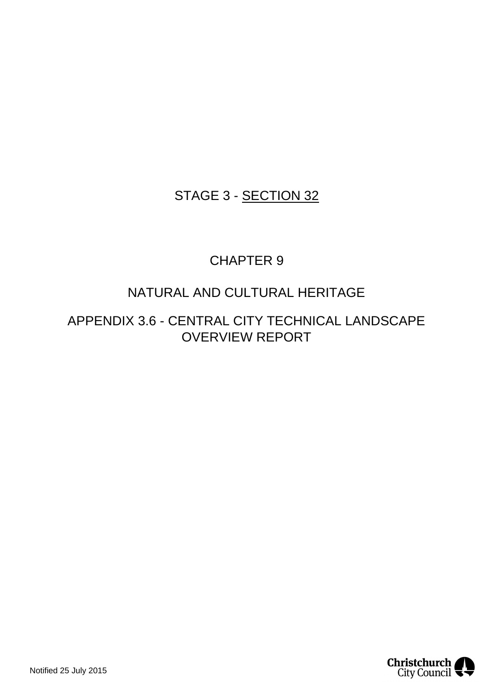# STAGE 3 - SECTION 32

# CHAPTER 9

# NATURAL AND CULTURAL HERITAGE

APPENDIX 3.6 - CENTRAL CITY TECHNICAL LANDSCAPE OVERVIEW REPORT

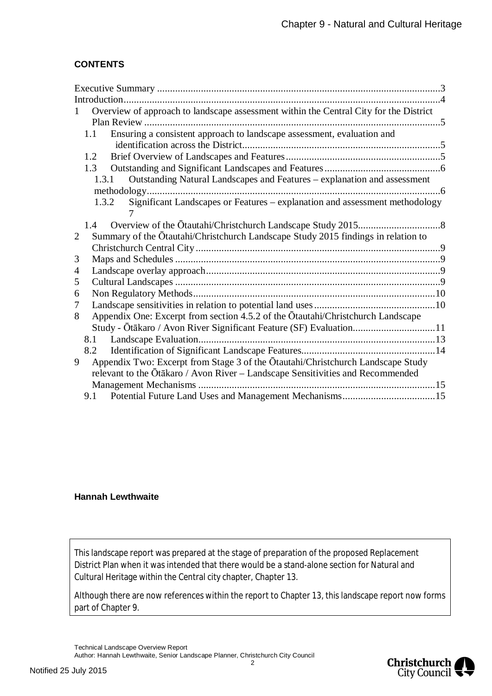# **CONTENTS**

| 1 | Overview of approach to landscape assessment within the Central City for the District |  |
|---|---------------------------------------------------------------------------------------|--|
|   |                                                                                       |  |
|   | Ensuring a consistent approach to landscape assessment, evaluation and<br>1.1         |  |
|   |                                                                                       |  |
|   | 1.2                                                                                   |  |
|   | 1.3                                                                                   |  |
|   | Outstanding Natural Landscapes and Features – explanation and assessment<br>1.3.1     |  |
|   |                                                                                       |  |
|   | Significant Landscapes or Features - explanation and assessment methodology<br>1.3.2  |  |
|   |                                                                                       |  |
|   |                                                                                       |  |
| 2 | Summary of the Ōtautahi/Christchurch Landscape Study 2015 findings in relation to     |  |
|   |                                                                                       |  |
| 3 |                                                                                       |  |
| 4 |                                                                                       |  |
| 5 |                                                                                       |  |
| 6 |                                                                                       |  |
| 7 |                                                                                       |  |
| 8 | Appendix One: Excerpt from section 4.5.2 of the Ōtautahi/Christchurch Landscape       |  |
|   |                                                                                       |  |
|   | 8.1                                                                                   |  |
|   | 8.2                                                                                   |  |
| 9 | Appendix Two: Excerpt from Stage 3 of the Ōtautahi/Christchurch Landscape Study       |  |
|   | relevant to the Ōtākaro / Avon River – Landscape Sensitivities and Recommended        |  |
|   |                                                                                       |  |
|   |                                                                                       |  |

# **Hannah Lewthwaite**

This landscape report was prepared at the stage of preparation of the proposed Replacement District Plan when it was intended that there would be a stand-alone section for Natural and Cultural Heritage within the Central city chapter, Chapter 13.

Although there are now references within the report to Chapter 13, this landscape report now forms part of Chapter 9.

Technical Landscape Overview Report Author: Hannah Lewthwaite, Senior Landscape Planner, Christchurch City Council

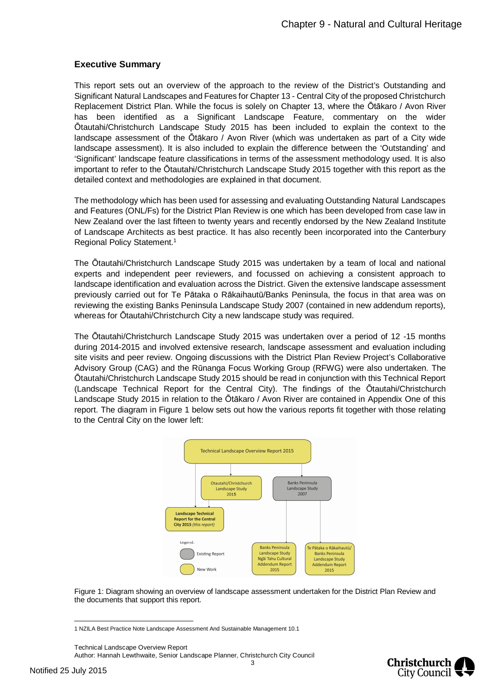#### <span id="page-2-0"></span>**Executive Summary**

This report sets out an overview of the approach to the review of the District's Outstanding and Significant Natural Landscapes and Features for Chapter 13 - Central City of the proposed Christchurch Replacement District Plan. While the focus is solely on Chapter 13, where the Ōtākaro / Avon River has been identified as a Significant Landscape Feature, commentary on the wider Ōtautahi/Christchurch Landscape Study 2015 has been included to explain the context to the landscape assessment of the Ōtākaro / Avon River (which was undertaken as part of a City wide landscape assessment). It is also included to explain the difference between the 'Outstanding' and 'Significant' landscape feature classifications in terms of the assessment methodology used. It is also important to refer to the Ōtautahi/Christchurch Landscape Study 2015 together with this report as the detailed context and methodologies are explained in that document.

The methodology which has been used for assessing and evaluating Outstanding Natural Landscapes and Features (ONL/Fs) for the District Plan Review is one which has been developed from case law in New Zealand over the last fifteen to twenty years and recently endorsed by the New Zealand Institute of Landscape Architects as best practice. It has also recently been incorporated into the Canterbury Regional Policy Statement.[1](#page-2-1)

The Ōtautahi/Christchurch Landscape Study 2015 was undertaken by a team of local and national experts and independent peer reviewers, and focussed on achieving a consistent approach to landscape identification and evaluation across the District. Given the extensive landscape assessment previously carried out for Te Pātaka o Rākaihautū/Banks Peninsula, the focus in that area was on reviewing the existing Banks Peninsula Landscape Study 2007 (contained in new addendum reports), whereas for Ōtautahi/Christchurch City a new landscape study was required.

The Ōtautahi/Christchurch Landscape Study 2015 was undertaken over a period of 12 -15 months during 2014-2015 and involved extensive research, landscape assessment and evaluation including site visits and peer review. Ongoing discussions with the District Plan Review Project's Collaborative Advisory Group (CAG) and the Rūnanga Focus Working Group (RFWG) were also undertaken. The Ōtautahi/Christchurch Landscape Study 2015 should be read in conjunction with this Technical Report (Landscape Technical Report for the Central City). The findings of the Ōtautahi/Christchurch Landscape Study 2015 in relation to the Ōtākaro / Avon River are contained in Appendix One of this report. The diagram in Figure 1 below sets out how the various reports fit together with those relating to the Central City on the lower left:



Figure 1: Diagram showing an overview of landscape assessment undertaken for the District Plan Review and the documents that support this report.

Technical Landscape Overview Report



<span id="page-2-1"></span><sup>1</sup> NZILA Best Practice Note Landscape Assessment And Sustainable Management 10.1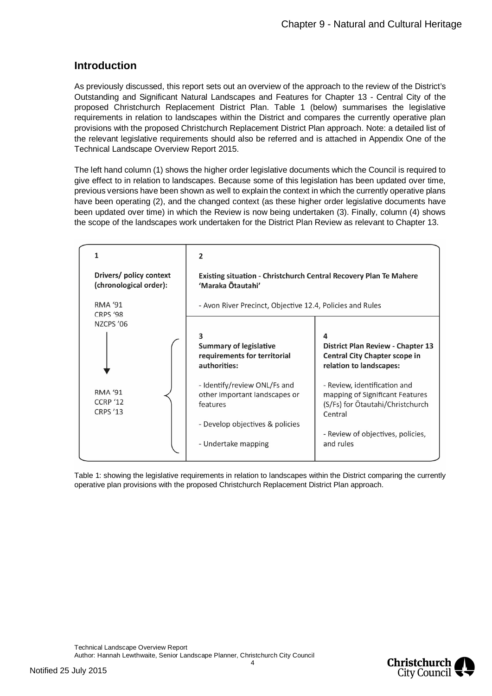# <span id="page-3-0"></span>**Introduction**

As previously discussed, this report sets out an overview of the approach to the review of the District's Outstanding and Significant Natural Landscapes and Features for Chapter 13 - Central City of the proposed Christchurch Replacement District Plan. Table 1 (below) summarises the legislative requirements in relation to landscapes within the District and compares the currently operative plan provisions with the proposed Christchurch Replacement District Plan approach. Note: a detailed list of the relevant legislative requirements should also be referred and is attached in Appendix One of the Technical Landscape Overview Report 2015.

The left hand column (1) shows the higher order legislative documents which the Council is required to give effect to in relation to landscapes. Because some of this legislation has been updated over time, previous versions have been shown as well to explain the context in which the currently operative plans have been operating (2), and the changed context (as these higher order legislative documents have been updated over time) in which the Review is now being undertaken (3). Finally, column (4) shows the scope of the landscapes work undertaken for the District Plan Review as relevant to Chapter 13.



Table 1: showing the legislative requirements in relation to landscapes within the District comparing the currently operative plan provisions with the proposed Christchurch Replacement District Plan approach.

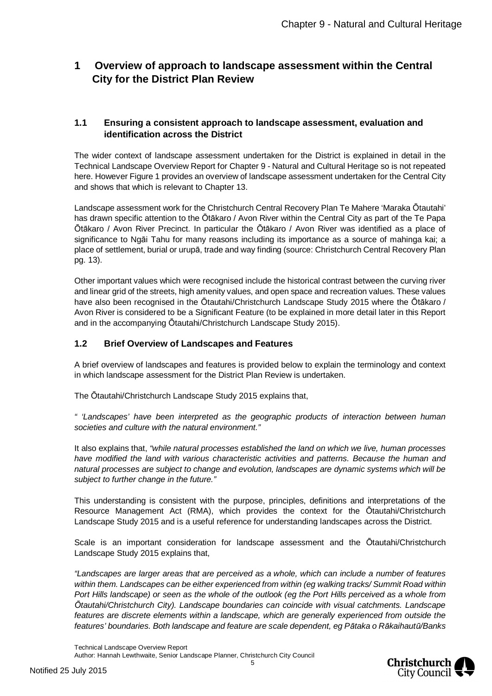# <span id="page-4-0"></span>**1 Overview of approach to landscape assessment within the Central City for the District Plan Review**

# <span id="page-4-1"></span>**1.1 Ensuring a consistent approach to landscape assessment, evaluation and identification across the District**

The wider context of landscape assessment undertaken for the District is explained in detail in the Technical Landscape Overview Report for Chapter 9 - Natural and Cultural Heritage so is not repeated here. However Figure 1 provides an overview of landscape assessment undertaken for the Central City and shows that which is relevant to Chapter 13.

Landscape assessment work for the Christchurch Central Recovery Plan Te Mahere 'Maraka Ōtautahi' has drawn specific attention to the Ōtākaro / Avon River within the Central City as part of the Te Papa Ōtākaro / Avon River Precinct. In particular the Ōtākaro / Avon River was identified as a place of significance to Ngāi Tahu for many reasons including its importance as a source of mahinga kai; a place of settlement, burial or urupā, trade and way finding (source: Christchurch Central Recovery Plan pg. 13).

Other important values which were recognised include the historical contrast between the curving river and linear grid of the streets, high amenity values, and open space and recreation values. These values have also been recognised in the Ōtautahi/Christchurch Landscape Study 2015 where the Ōtākaro / Avon River is considered to be a Significant Feature (to be explained in more detail later in this Report and in the accompanying Ōtautahi/Christchurch Landscape Study 2015).

# <span id="page-4-2"></span>**1.2 Brief Overview of Landscapes and Features**

A brief overview of landscapes and features is provided below to explain the terminology and context in which landscape assessment for the District Plan Review is undertaken.

The Ōtautahi/Christchurch Landscape Study 2015 explains that,

*" 'Landscapes' have been interpreted as the geographic products of interaction between human societies and culture with the natural environment."*

It also explains that, *"while natural processes established the land on which we live, human processes have modified the land with various characteristic activities and patterns. Because the human and natural processes are subject to change and evolution, landscapes are dynamic systems which will be subject to further change in the future."*

This understanding is consistent with the purpose, principles, definitions and interpretations of the Resource Management Act (RMA), which provides the context for the Ōtautahi/Christchurch Landscape Study 2015 and is a useful reference for understanding landscapes across the District.

Scale is an important consideration for landscape assessment and the Ōtautahi/Christchurch Landscape Study 2015 explains that,

*"Landscapes are larger areas that are perceived as a whole, which can include a number of features within them. Landscapes can be either experienced from within (eg walking tracks/ Summit Road within Port Hills landscape) or seen as the whole of the outlook (eg the Port Hills perceived as a whole from Ōtautahi/Christchurch City). Landscape boundaries can coincide with visual catchments. Landscape features are discrete elements within a landscape, which are generally experienced from outside the features' boundaries. Both landscape and feature are scale dependent, eg Pātaka o Rākaihautū/Banks*



Technical Landscape Overview Report Author: Hannah Lewthwaite, Senior Landscape Planner, Christchurch City Council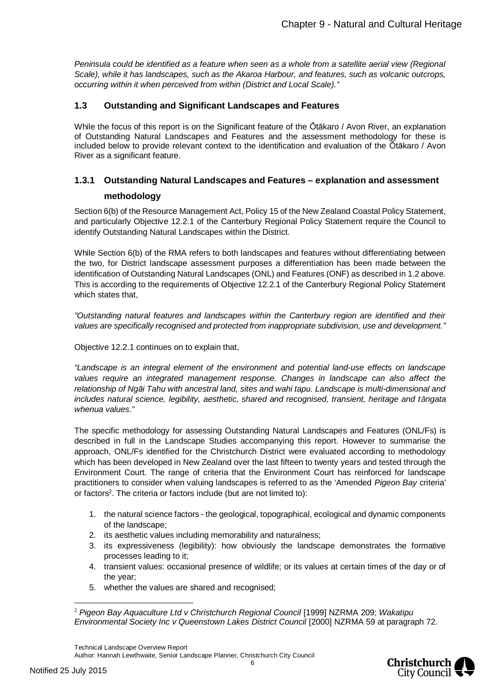*Peninsula could be identified as a feature when seen as a whole from a satellite aerial view (Regional Scale), while it has landscapes, such as the Akaroa Harbour, and features, such as volcanic outcrops, occurring within it when perceived from within (District and Local Scale)."*

# <span id="page-5-0"></span>**1.3 Outstanding and Significant Landscapes and Features**

While the focus of this report is on the Significant feature of the Ōtākaro / Avon River, an explanation of Outstanding Natural Landscapes and Features and the assessment methodology for these is included below to provide relevant context to the identification and evaluation of the Ōtākaro / Avon River as a significant feature.

# <span id="page-5-1"></span>**1.3.1 Outstanding Natural Landscapes and Features – explanation and assessment methodology**

Section 6(b) of the Resource Management Act, Policy 15 of the New Zealand Coastal Policy Statement, and particularly Objective 12.2.1 of the Canterbury Regional Policy Statement require the Council to identify Outstanding Natural Landscapes within the District.

While Section 6(b) of the RMA refers to both landscapes and features without differentiating between the two, for District landscape assessment purposes a differentiation has been made between the identification of Outstanding Natural Landscapes (ONL) and Features (ONF) as described in 1.2 above. This is according to the requirements of Objective 12.2.1 of the Canterbury Regional Policy Statement which states that,

*"Outstanding natural features and landscapes within the Canterbury region are identified and their values are specifically recognised and protected from inappropriate subdivision, use and development."*

Objective 12.2.1 continues on to explain that,

*"Landscape is an integral element of the environment and potential land-use effects on landscape values require an integrated management response. Changes in landscape can also affect the relationship of Ngāi Tahu with ancestral land, sites and wahi tapu. Landscape is multi-dimensional and includes natural science, legibility, aesthetic, shared and recognised, transient, heritage and tāngata whenua values."*

The specific methodology for assessing Outstanding Natural Landscapes and Features (ONL/Fs) is described in full in the Landscape Studies accompanying this report. However to summarise the approach, ONL/Fs identified for the Christchurch District were evaluated according to methodology which has been developed in New Zealand over the last fifteen to twenty years and tested through the Environment Court. The range of criteria that the Environment Court has reinforced for landscape practitioners to consider when valuing landscapes is referred to as the 'Amended *Pigeon Bay* criteria' or factors<sup>[2](#page-5-2)</sup>. The criteria or factors include (but are not limited to):

- 1. the natural science factors the geological, topographical, ecological and dynamic components of the landscape;
- 2. its aesthetic values including memorability and naturalness;
- 3. its expressiveness (legibility): how obviously the landscape demonstrates the formative processes leading to it;
- 4. transient values: occasional presence of wildlife; or its values at certain times of the day or of the year;
- 5. whether the values are shared and recognised;

Technical Landscape Overview Report





<span id="page-5-2"></span><sup>2</sup> *Pigeon Bay Aquaculture Ltd v Christchurch Regional Council* [1999] NZRMA 209; *Wakatipu Environmental Society Inc v Queenstown Lakes District Council* [2000] NZRMA 59 at paragraph 72.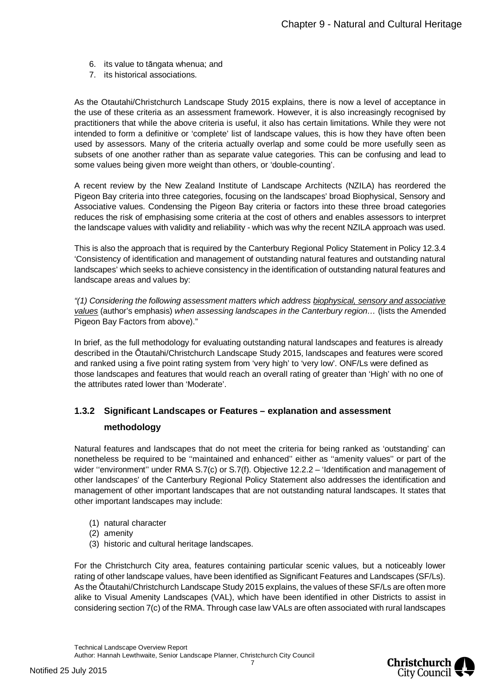- 6. its value to tāngata whenua; and
- 7. its historical associations.

As the Otautahi/Christchurch Landscape Study 2015 explains, there is now a level of acceptance in the use of these criteria as an assessment framework. However, it is also increasingly recognised by practitioners that while the above criteria is useful, it also has certain limitations. While they were not intended to form a definitive or 'complete' list of landscape values, this is how they have often been used by assessors. Many of the criteria actually overlap and some could be more usefully seen as subsets of one another rather than as separate value categories. This can be confusing and lead to some values being given more weight than others, or 'double-counting'.

A recent review by the New Zealand Institute of Landscape Architects (NZILA) has reordered the Pigeon Bay criteria into three categories, focusing on the landscapes' broad Biophysical, Sensory and Associative values. Condensing the Pigeon Bay criteria or factors into these three broad categories reduces the risk of emphasising some criteria at the cost of others and enables assessors to interpret the landscape values with validity and reliability - which was why the recent NZILA approach was used.

This is also the approach that is required by the Canterbury Regional Policy Statement in Policy 12.3.4 'Consistency of identification and management of outstanding natural features and outstanding natural landscapes' which seeks to achieve consistency in the identification of outstanding natural features and landscape areas and values by:

*"(1) Considering the following assessment matters which address biophysical, sensory and associative values* (author's emphasis) *when assessing landscapes in the Canterbury region…* (lists the Amended Pigeon Bay Factors from above)."

In brief, as the full methodology for evaluating outstanding natural landscapes and features is already described in the Ōtautahi/Christchurch Landscape Study 2015, landscapes and features were scored and ranked using a five point rating system from 'very high' to 'very low'. ONF/Ls were defined as those landscapes and features that would reach an overall rating of greater than 'High' with no one of the attributes rated lower than 'Moderate'.

# <span id="page-6-0"></span>**1.3.2 Significant Landscapes or Features – explanation and assessment methodology**

Natural features and landscapes that do not meet the criteria for being ranked as 'outstanding' can nonetheless be required to be ''maintained and enhanced'' either as ''amenity values'' or part of the wider "environment" under RMA S.7(c) or S.7(f). Objective 12.2.2 – 'Identification and management of other landscapes' of the Canterbury Regional Policy Statement also addresses the identification and management of other important landscapes that are not outstanding natural landscapes. It states that other important landscapes may include:

- (1) natural character
- (2) amenity
- (3) historic and cultural heritage landscapes.

For the Christchurch City area, features containing particular scenic values, but a noticeably lower rating of other landscape values, have been identified as Significant Features and Landscapes (SF/Ls). As the Ōtautahi/Christchurch Landscape Study 2015 explains, the values of these SF/Ls are often more alike to Visual Amenity Landscapes (VAL), which have been identified in other Districts to assist in considering section 7(c) of the RMA. Through case law VALs are often associated with rural landscapes

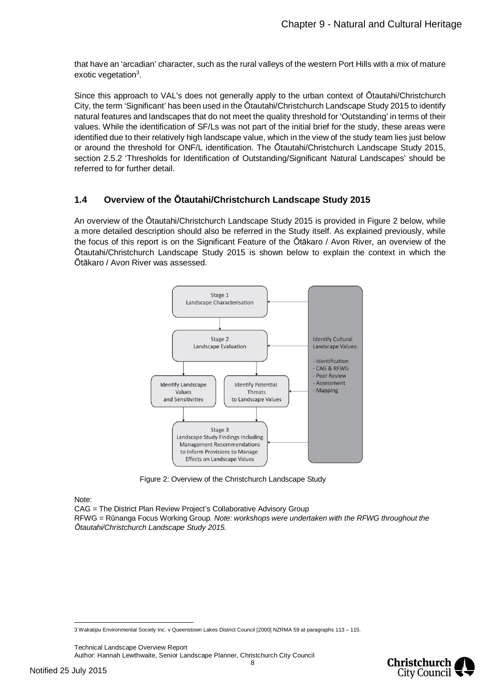that have an 'arcadian' character, such as the rural valleys of the western Port Hills with a mix of mature exotic vegetation<sup>[3](#page-7-1)</sup>.

Since this approach to VAL's does not generally apply to the urban context of Ōtautahi/Christchurch City, the term 'Significant' has been used in the Ōtautahi/Christchurch Landscape Study 2015 to identify natural features and landscapes that do not meet the quality threshold for 'Outstanding' in terms of their values. While the identification of SF/Ls was not part of the initial brief for the study, these areas were identified due to their relatively high landscape value, which in the view of the study team lies just below or around the threshold for ONF/L identification. The Ōtautahi/Christchurch Landscape Study 2015, section 2.5.2 'Thresholds for Identification of Outstanding/Significant Natural Landscapes' should be referred to for further detail.

## <span id="page-7-0"></span>**1.4 Overview of the Ōtautahi/Christchurch Landscape Study 2015**

An overview of the Ōtautahi/Christchurch Landscape Study 2015 is provided in Figure 2 below, while a more detailed description should also be referred in the Study itself. As explained previously, while the focus of this report is on the Significant Feature of the Ōtākaro / Avon River, an overview of the Ōtautahi/Christchurch Landscape Study 2015 is shown below to explain the context in which the Ōtākaro / Avon River was assessed.



Figure 2: Overview of the Christchurch Landscape Study

Note:

CAG = The District Plan Review Project's Collaborative Advisory Group RFWG = Rūnanga Focus Working Group*. Note: workshops were undertaken with the RFWG throughout the Ōtautahi/Christchurch Landscape Study 2015.*

Technical Landscape Overview Report



<span id="page-7-1"></span><sup>3</sup> Wakatipu Environmental Society Inc. v Queenstown Lakes District Council [2000] NZRMA 59 at paragraphs 113 – 115.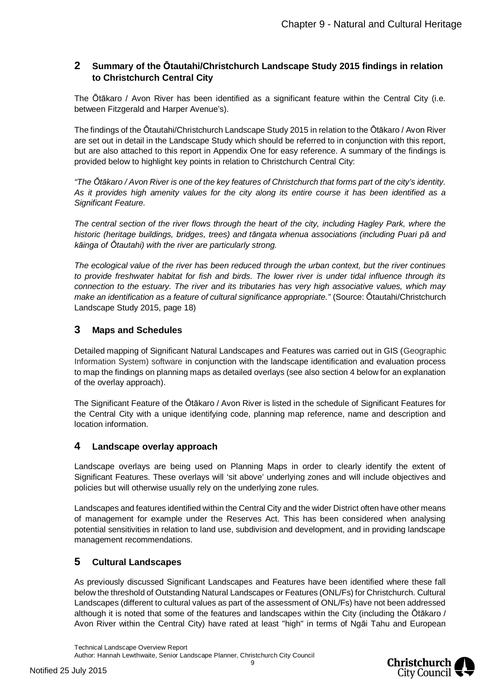# <span id="page-8-0"></span>**2 Summary of the Ōtautahi/Christchurch Landscape Study 2015 findings in relation to Christchurch Central City**

The Ōtākaro / Avon River has been identified as a significant feature within the Central City (i.e. between Fitzgerald and Harper Avenue's).

The findings of the Ōtautahi/Christchurch Landscape Study 2015 in relation to the Ōtākaro / Avon River are set out in detail in the Landscape Study which should be referred to in conjunction with this report, but are also attached to this report in Appendix One for easy reference. A summary of the findings is provided below to highlight key points in relation to Christchurch Central City:

*"The Ōtākaro / Avon River is one of the key features of Christchurch that forms part of the city's identity. As it provides high amenity values for the city along its entire course it has been identified as a Significant Feature.*

*The central section of the river flows through the heart of the city, including Hagley Park, where the historic (heritage buildings, bridges, trees) and tāngata whenua associations (including Puari pā and kāinga of Ōtautahi) with the river are particularly strong.*

*The ecological value of the river has been reduced through the urban context, but the river continues to provide freshwater habitat for fish and birds. The lower river is under tidal influence through its connection to the estuary. The river and its tributaries has very high associative values, which may make an identification as a feature of cultural significance appropriate."* (Source: Ōtautahi/Christchurch Landscape Study 2015, page 18)

## <span id="page-8-1"></span>**3 Maps and Schedules**

Detailed mapping of Significant Natural Landscapes and Features was carried out in GIS (Geographic Information System) software in conjunction with the landscape identification and evaluation process to map the findings on planning maps as detailed overlays (see also section 4 below for an explanation of the overlay approach).

The Significant Feature of the Ōtākaro / Avon River is listed in the schedule of Significant Features for the Central City with a unique identifying code, planning map reference, name and description and location information.

## <span id="page-8-2"></span>**4 Landscape overlay approach**

Landscape overlays are being used on Planning Maps in order to clearly identify the extent of Significant Features. These overlays will 'sit above' underlying zones and will include objectives and policies but will otherwise usually rely on the underlying zone rules.

Landscapes and features identified within the Central City and the wider District often have other means of management for example under the Reserves Act. This has been considered when analysing potential sensitivities in relation to land use, subdivision and development, and in providing landscape management recommendations.

# <span id="page-8-3"></span>**5 Cultural Landscapes**

As previously discussed Significant Landscapes and Features have been identified where these fall below the threshold of Outstanding Natural Landscapes or Features (ONL/Fs) for Christchurch. Cultural Landscapes (different to cultural values as part of the assessment of ONL/Fs) have not been addressed although it is noted that some of the features and landscapes within the City (including the Ōtākaro / Avon River within the Central City) have rated at least "high" in terms of Ngāi Tahu and European

Technical Landscape Overview Report Author: Hannah Lewthwaite, Senior Landscape Planner, Christchurch City Council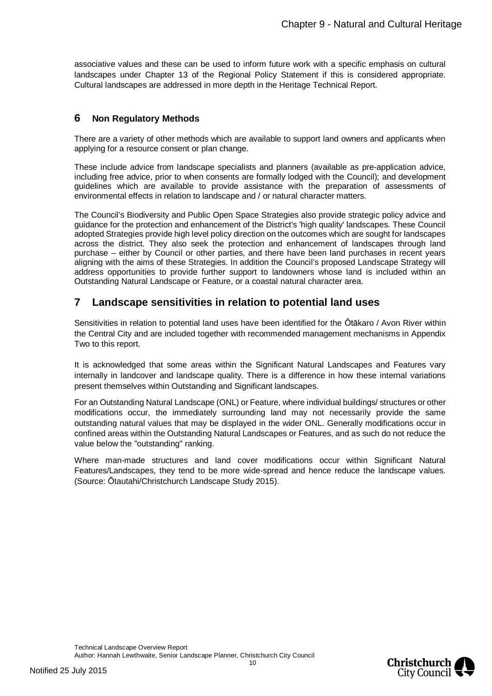associative values and these can be used to inform future work with a specific emphasis on cultural landscapes under Chapter 13 of the Regional Policy Statement if this is considered appropriate. Cultural landscapes are addressed in more depth in the Heritage Technical Report.

# <span id="page-9-0"></span>**6 Non Regulatory Methods**

There are a variety of other methods which are available to support land owners and applicants when applying for a resource consent or plan change.

These include advice from landscape specialists and planners (available as pre-application advice, including free advice, prior to when consents are formally lodged with the Council); and development guidelines which are available to provide assistance with the preparation of assessments of environmental effects in relation to landscape and / or natural character matters.

The Council's Biodiversity and Public Open Space Strategies also provide strategic policy advice and guidance for the protection and enhancement of the District's 'high quality' landscapes. These Council adopted Strategies provide high level policy direction on the outcomes which are sought for landscapes across the district. They also seek the protection and enhancement of landscapes through land purchase – either by Council or other parties, and there have been land purchases in recent years aligning with the aims of these Strategies. In addition the Council's proposed Landscape Strategy will address opportunities to provide further support to landowners whose land is included within an Outstanding Natural Landscape or Feature, or a coastal natural character area.

# <span id="page-9-1"></span>**7 Landscape sensitivities in relation to potential land uses**

Sensitivities in relation to potential land uses have been identified for the Ōtākaro / Avon River within the Central City and are included together with recommended management mechanisms in Appendix Two to this report.

It is acknowledged that some areas within the Significant Natural Landscapes and Features vary internally in landcover and landscape quality. There is a difference in how these internal variations present themselves within Outstanding and Significant landscapes.

For an Outstanding Natural Landscape (ONL) or Feature, where individual buildings/ structures or other modifications occur, the immediately surrounding land may not necessarily provide the same outstanding natural values that may be displayed in the wider ONL. Generally modifications occur in confined areas within the Outstanding Natural Landscapes or Features, and as such do not reduce the value below the "outstanding" ranking.

Where man-made structures and land cover modifications occur within Significant Natural Features/Landscapes, they tend to be more wide-spread and hence reduce the landscape values. (Source: Ōtautahi/Christchurch Landscape Study 2015).

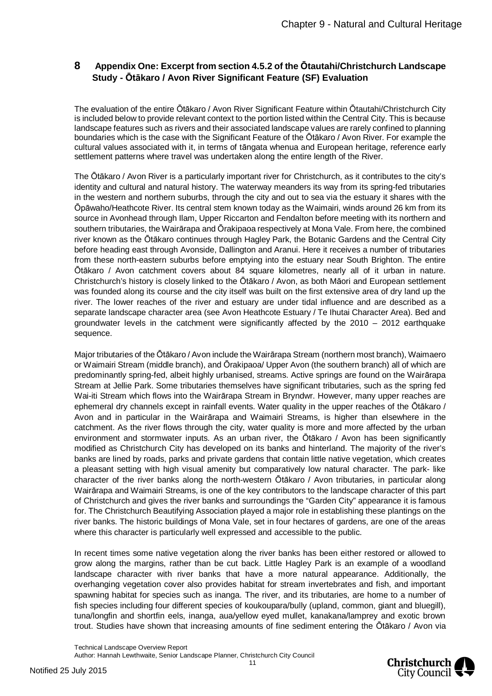# <span id="page-10-0"></span>**8 Appendix One: Excerpt from section 4.5.2 of the Ōtautahi/Christchurch Landscape Study - Ōtākaro / Avon River Significant Feature (SF) Evaluation**

The evaluation of the entire Ōtākaro / Avon River Significant Feature within Ōtautahi/Christchurch City is included below to provide relevant context to the portion listed within the Central City. This is because landscape features such as rivers and their associated landscape values are rarely confined to planning boundaries which is the case with the Significant Feature of the Ōtākaro / Avon River. For example the cultural values associated with it, in terms of tāngata whenua and European heritage, reference early settlement patterns where travel was undertaken along the entire length of the River.

The Ōtākaro / Avon River is a particularly important river for Christchurch, as it contributes to the city's identity and cultural and natural history. The waterway meanders its way from its spring-fed tributaries in the western and northern suburbs, through the city and out to sea via the estuary it shares with the Ōpāwaho/Heathcote River. Its central stem known today as the Waimairi, winds around 26 km from its source in Avonhead through Ilam, Upper Riccarton and Fendalton before meeting with its northern and southern tributaries, the Wairārapa and Ōrakipaoa respectively at Mona Vale. From here, the combined river known as the Ōtākaro continues through Hagley Park, the Botanic Gardens and the Central City before heading east through Avonside, Dallington and Aranui. Here it receives a number of tributaries from these north-eastern suburbs before emptying into the estuary near South Brighton. The entire Ōtākaro / Avon catchment covers about 84 square kilometres, nearly all of it urban in nature. Christchurch's history is closely linked to the Ōtākaro / Avon, as both Māori and European settlement was founded along its course and the city itself was built on the first extensive area of dry land up the river. The lower reaches of the river and estuary are under tidal influence and are described as a separate landscape character area (see Avon Heathcote Estuary / Te Ihutai Character Area). Bed and groundwater levels in the catchment were significantly affected by the 2010 – 2012 earthquake sequence.

Major tributaries of the Ōtākaro / Avon include the Wairārapa Stream (northern most branch), Waimaero or Waimairi Stream (middle branch), and Ōrakipaoa/ Upper Avon (the southern branch) all of which are predominantly spring-fed, albeit highly urbanised, streams. Active springs are found on the Wairārapa Stream at Jellie Park. Some tributaries themselves have significant tributaries, such as the spring fed Wai-iti Stream which flows into the Wairārapa Stream in Bryndwr. However, many upper reaches are ephemeral dry channels except in rainfall events. Water quality in the upper reaches of the Ōtākaro / Avon and in particular in the Wairārapa and Waimairi Streams, is higher than elsewhere in the catchment. As the river flows through the city, water quality is more and more affected by the urban environment and stormwater inputs. As an urban river, the Ōtākaro / Avon has been significantly modified as Christchurch City has developed on its banks and hinterland. The majority of the river's banks are lined by roads, parks and private gardens that contain little native vegetation, which creates a pleasant setting with high visual amenity but comparatively low natural character. The park- like character of the river banks along the north-western Ōtākaro / Avon tributaries, in particular along Wairārapa and Waimairi Streams, is one of the key contributors to the landscape character of this part of Christchurch and gives the river banks and surroundings the "Garden City" appearance it is famous for. The Christchurch Beautifying Association played a major role in establishing these plantings on the river banks. The historic buildings of Mona Vale, set in four hectares of gardens, are one of the areas where this character is particularly well expressed and accessible to the public.

In recent times some native vegetation along the river banks has been either restored or allowed to grow along the margins, rather than be cut back. Little Hagley Park is an example of a woodland landscape character with river banks that have a more natural appearance. Additionally, the overhanging vegetation cover also provides habitat for stream invertebrates and fish, and important spawning habitat for species such as inanga. The river, and its tributaries, are home to a number of fish species including four different species of koukoupara/bully (upland, common, giant and bluegill), tuna/longfin and shortfin eels, inanga, aua/yellow eyed mullet, kanakana/lamprey and exotic brown trout. Studies have shown that increasing amounts of fine sediment entering the Ōtākaro / Avon via



Technical Landscape Overview Report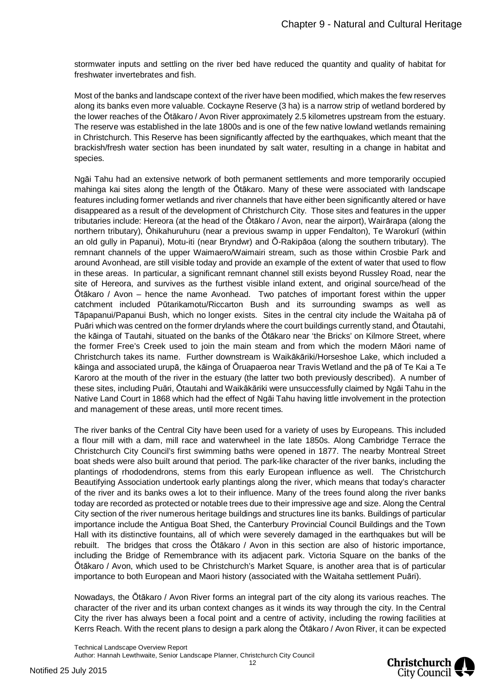stormwater inputs and settling on the river bed have reduced the quantity and quality of habitat for freshwater invertebrates and fish.

Most of the banks and landscape context of the river have been modified, which makes the few reserves along its banks even more valuable. Cockayne Reserve (3 ha) is a narrow strip of wetland bordered by the lower reaches of the Ōtākaro / Avon River approximately 2.5 kilometres upstream from the estuary. The reserve was established in the late 1800s and is one of the few native lowland wetlands remaining in Christchurch. This Reserve has been significantly affected by the earthquakes, which meant that the brackish/fresh water section has been inundated by salt water, resulting in a change in habitat and species.

Ngāi Tahu had an extensive network of both permanent settlements and more temporarily occupied mahinga kai sites along the length of the Ōtākaro. Many of these were associated with landscape features including former wetlands and river channels that have either been significantly altered or have disappeared as a result of the development of Christchurch City. Those sites and features in the upper tributaries include: Hereora (at the head of the Ōtākaro / Avon, near the airport), Wairārapa (along the northern tributary), Ōhikahuruhuru (near a previous swamp in upper Fendalton), Te Warokurī (within an old gully in Papanui), Motu-iti (near Bryndwr) and Ō-Rakipāoa (along the southern tributary). The remnant channels of the upper Waimaero/Waimairi stream, such as those within Crosbie Park and around Avonhead, are still visible today and provide an example of the extent of water that used to flow in these areas. In particular, a significant remnant channel still exists beyond Russley Road, near the site of Hereora, and survives as the furthest visible inland extent, and original source/head of the Ōtākaro / Avon – hence the name Avonhead. Two patches of important forest within the upper catchment included Pūtarikamotu/Riccarton Bush and its surrounding swamps as well as Tāpapanui/Papanui Bush, which no longer exists. Sites in the central city include the Waitaha pā of Puāri which was centred on the former drylands where the court buildings currently stand, and Ōtautahi, the kāinga of Tautahi, situated on the banks of the Ōtākaro near 'the Bricks' on Kilmore Street, where the former Free's Creek used to join the main steam and from which the modern Māori name of Christchurch takes its name. Further downstream is Waikākāriki/Horseshoe Lake, which included a kāinga and associated urupā, the kāinga of Ōruapaeroa near Travis Wetland and the pā of Te Kai a Te Karoro at the mouth of the river in the estuary (the latter two both previously described). A number of these sites, including Puāri, Ōtautahi and Waikākāriki were unsuccessfully claimed by Ngāi Tahu in the Native Land Court in 1868 which had the effect of Ngāi Tahu having little involvement in the protection and management of these areas, until more recent times.

The river banks of the Central City have been used for a variety of uses by Europeans. This included a flour mill with a dam, mill race and waterwheel in the late 1850s. Along Cambridge Terrace the Christchurch City Council's first swimming baths were opened in 1877. The nearby Montreal Street boat sheds were also built around that period. The park-like character of the river banks, including the plantings of rhododendrons, stems from this early European influence as well. The Christchurch Beautifying Association undertook early plantings along the river, which means that today's character of the river and its banks owes a lot to their influence. Many of the trees found along the river banks today are recorded as protected or notable trees due to their impressive age and size. Along the Central City section of the river numerous heritage buildings and structures line its banks. Buildings of particular importance include the Antigua Boat Shed, the Canterbury Provincial Council Buildings and the Town Hall with its distinctive fountains, all of which were severely damaged in the earthquakes but will be rebuilt. The bridges that cross the Ōtākaro / Avon in this section are also of historic importance, including the Bridge of Remembrance with its adjacent park. Victoria Square on the banks of the Ōtākaro / Avon, which used to be Christchurch's Market Square, is another area that is of particular importance to both European and Maori history (associated with the Waitaha settlement Puāri).

Nowadays, the Ōtākaro / Avon River forms an integral part of the city along its various reaches. The character of the river and its urban context changes as it winds its way through the city. In the Central City the river has always been a focal point and a centre of activity, including the rowing facilities at Kerrs Reach. With the recent plans to design a park along the Ōtākaro / Avon River, it can be expected



Technical Landscape Overview Report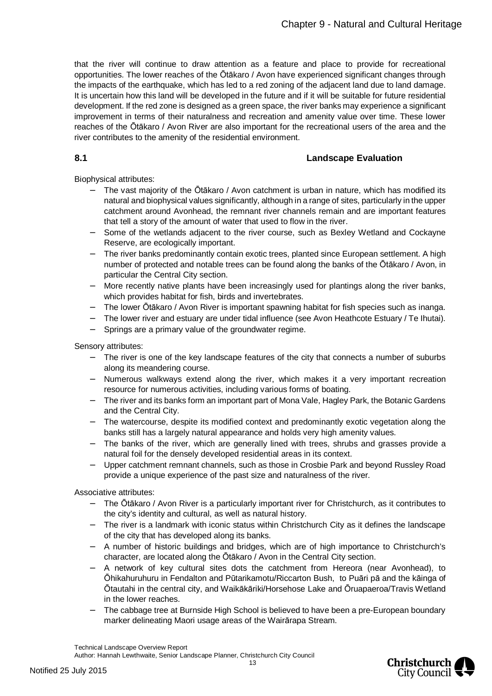that the river will continue to draw attention as a feature and place to provide for recreational opportunities. The lower reaches of the Ōtākaro / Avon have experienced significant changes through the impacts of the earthquake, which has led to a red zoning of the adjacent land due to land damage. It is uncertain how this land will be developed in the future and if it will be suitable for future residential development. If the red zone is designed as a green space, the river banks may experience a significant improvement in terms of their naturalness and recreation and amenity value over time. These lower reaches of the Ōtākaro / Avon River are also important for the recreational users of the area and the river contributes to the amenity of the residential environment.

# **8.1 Landscape Evaluation**

Biophysical attributes:

- <span id="page-12-0"></span> The vast majority of the Ōtākaro / Avon catchment is urban in nature, which has modified its natural and biophysical values significantly, although in a range of sites, particularly in the upper catchment around Avonhead, the remnant river channels remain and are important features that tell a story of the amount of water that used to flow in the river.
- Some of the wetlands adjacent to the river course, such as Bexley Wetland and Cockayne Reserve, are ecologically important.
- The river banks predominantly contain exotic trees, planted since European settlement. A high number of protected and notable trees can be found along the banks of the Ōtākaro / Avon, in particular the Central City section.
- More recently native plants have been increasingly used for plantings along the river banks, which provides habitat for fish, birds and invertebrates.
- The lower Ōtākaro / Avon River is important spawning habitat for fish species such as inanga.
- The lower river and estuary are under tidal influence (see Avon Heathcote Estuary / Te Ihutai).
- Springs are a primary value of the groundwater regime.

Sensory attributes:

- The river is one of the key landscape features of the city that connects a number of suburbs along its meandering course.
- Numerous walkways extend along the river, which makes it a very important recreation resource for numerous activities, including various forms of boating.
- The river and its banks form an important part of Mona Vale, Hagley Park, the Botanic Gardens and the Central City.
- The watercourse, despite its modified context and predominantly exotic vegetation along the banks still has a largely natural appearance and holds very high amenity values.
- The banks of the river, which are generally lined with trees, shrubs and grasses provide a natural foil for the densely developed residential areas in its context.
- Upper catchment remnant channels, such as those in Crosbie Park and beyond Russley Road provide a unique experience of the past size and naturalness of the river.

Associative attributes:

- The Ōtākaro / Avon River is a particularly important river for Christchurch, as it contributes to the city's identity and cultural, as well as natural history.
- The river is a landmark with iconic status within Christchurch City as it defines the landscape of the city that has developed along its banks.
- A number of historic buildings and bridges, which are of high importance to Christchurch's character, are located along the Ōtākaro / Avon in the Central City section.
- A network of key cultural sites dots the catchment from Hereora (near Avonhead), to Ōhikahuruhuru in Fendalton and Pūtarikamotu/Riccarton Bush, to Puāri pā and the kāinga of Ōtautahi in the central city, and Waikākāriki/Horsehose Lake and Ōruapaeroa/Travis Wetland in the lower reaches.
- The cabbage tree at Burnside High School is believed to have been a pre-European boundary marker delineating Maori usage areas of the Wairārapa Stream.



Technical Landscape Overview Report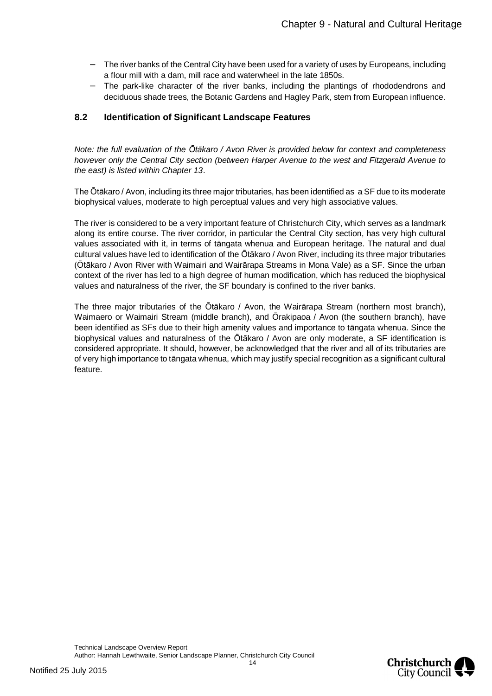- The river banks of the Central City have been used for a variety of uses by Europeans, including a flour mill with a dam, mill race and waterwheel in the late 1850s.
- The park-like character of the river banks, including the plantings of rhododendrons and deciduous shade trees, the Botanic Gardens and Hagley Park, stem from European influence.

## <span id="page-13-0"></span>**8.2 Identification of Significant Landscape Features**

*Note: the full evaluation of the Ōtākaro / Avon River is provided below for context and completeness however only the Central City section (between Harper Avenue to the west and Fitzgerald Avenue to the east) is listed within Chapter 13*.

The Ōtākaro / Avon, including its three major tributaries, has been identified as a SF due to its moderate biophysical values, moderate to high perceptual values and very high associative values.

The river is considered to be a very important feature of Christchurch City, which serves as a landmark along its entire course. The river corridor, in particular the Central City section, has very high cultural values associated with it, in terms of tāngata whenua and European heritage. The natural and dual cultural values have led to identification of the Ōtākaro / Avon River, including its three major tributaries (Ōtākaro / Avon River with Waimairi and Wairārapa Streams in Mona Vale) as a SF. Since the urban context of the river has led to a high degree of human modification, which has reduced the biophysical values and naturalness of the river, the SF boundary is confined to the river banks.

The three major tributaries of the Ōtākaro / Avon, the Wairārapa Stream (northern most branch), Waimaero or Waimairi Stream (middle branch), and Ōrakipaoa / Avon (the southern branch), have been identified as SFs due to their high amenity values and importance to tāngata whenua. Since the biophysical values and naturalness of the Ōtākaro / Avon are only moderate, a SF identification is considered appropriate. It should, however, be acknowledged that the river and all of its tributaries are of very high importance to tāngata whenua, which may justify special recognition as a significant cultural feature.

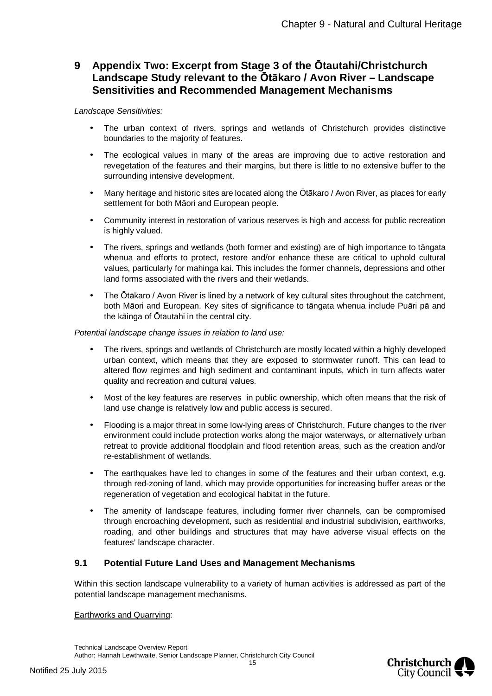# <span id="page-14-0"></span>**9 Appendix Two: Excerpt from Stage 3 of the Ōtautahi/Christchurch Landscape Study relevant to the Ōtākaro / Avon River – Landscape Sensitivities and Recommended Management Mechanisms**

#### *Landscape Sensitivities:*

- The urban context of rivers, springs and wetlands of Christchurch provides distinctive boundaries to the majority of features.
- The ecological values in many of the areas are improving due to active restoration and revegetation of the features and their margins, but there is little to no extensive buffer to the surrounding intensive development.
- Many heritage and historic sites are located along the Ōtākaro / Avon River, as places for early settlement for both Māori and European people.
- Community interest in restoration of various reserves is high and access for public recreation is highly valued.
- The rivers, springs and wetlands (both former and existing) are of high importance to tāngata whenua and efforts to protect, restore and/or enhance these are critical to uphold cultural values, particularly for mahinga kai. This includes the former channels, depressions and other land forms associated with the rivers and their wetlands.
- The Ōtākaro / Avon River is lined by a network of key cultural sites throughout the catchment, both Māori and European. Key sites of significance to tāngata whenua include Puāri pā and the kāinga of Ōtautahi in the central city.

#### *Potential landscape change issues in relation to land use:*

- The rivers, springs and wetlands of Christchurch are mostly located within a highly developed urban context, which means that they are exposed to stormwater runoff. This can lead to altered flow regimes and high sediment and contaminant inputs, which in turn affects water quality and recreation and cultural values.
- Most of the key features are reserves in public ownership, which often means that the risk of land use change is relatively low and public access is secured.
- Flooding is a major threat in some low-lying areas of Christchurch. Future changes to the river environment could include protection works along the major waterways, or alternatively urban retreat to provide additional floodplain and flood retention areas, such as the creation and/or re-establishment of wetlands.
- The earthquakes have led to changes in some of the features and their urban context, e.g. through red-zoning of land, which may provide opportunities for increasing buffer areas or the regeneration of vegetation and ecological habitat in the future.
- The amenity of landscape features, including former river channels, can be compromised through encroaching development, such as residential and industrial subdivision, earthworks, roading, and other buildings and structures that may have adverse visual effects on the features' landscape character.

## <span id="page-14-1"></span>**9.1 Potential Future Land Uses and Management Mechanisms**

Within this section landscape vulnerability to a variety of human activities is addressed as part of the potential landscape management mechanisms.

#### Earthworks and Quarrying:

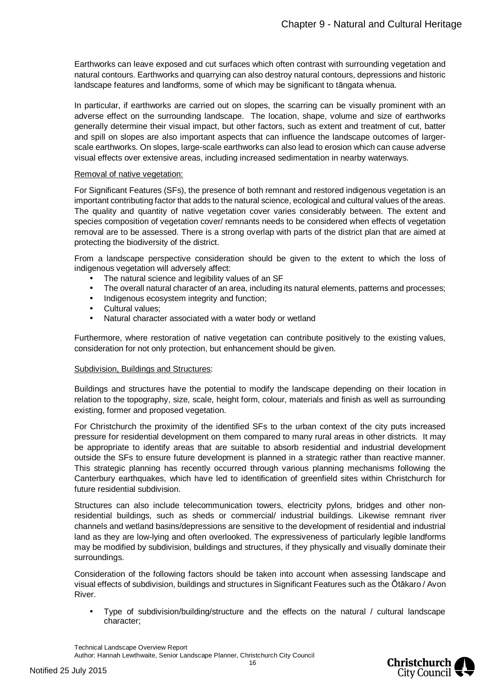Earthworks can leave exposed and cut surfaces which often contrast with surrounding vegetation and natural contours. Earthworks and quarrying can also destroy natural contours, depressions and historic landscape features and landforms, some of which may be significant to tāngata whenua.

In particular, if earthworks are carried out on slopes, the scarring can be visually prominent with an adverse effect on the surrounding landscape. The location, shape, volume and size of earthworks generally determine their visual impact, but other factors, such as extent and treatment of cut, batter and spill on slopes are also important aspects that can influence the landscape outcomes of largerscale earthworks. On slopes, large-scale earthworks can also lead to erosion which can cause adverse visual effects over extensive areas, including increased sedimentation in nearby waterways.

#### Removal of native vegetation:

For Significant Features (SFs), the presence of both remnant and restored indigenous vegetation is an important contributing factor that adds to the natural science, ecological and cultural values of the areas. The quality and quantity of native vegetation cover varies considerably between. The extent and species composition of vegetation cover/ remnants needs to be considered when effects of vegetation removal are to be assessed. There is a strong overlap with parts of the district plan that are aimed at protecting the biodiversity of the district.

From a landscape perspective consideration should be given to the extent to which the loss of indigenous vegetation will adversely affect:

- The natural science and legibility values of an SF
- The overall natural character of an area, including its natural elements, patterns and processes;
- Indigenous ecosystem integrity and function;
- Cultural values;
- Natural character associated with a water body or wetland

Furthermore, where restoration of native vegetation can contribute positively to the existing values, consideration for not only protection, but enhancement should be given.

#### Subdivision, Buildings and Structures:

Buildings and structures have the potential to modify the landscape depending on their location in relation to the topography, size, scale, height form, colour, materials and finish as well as surrounding existing, former and proposed vegetation.

For Christchurch the proximity of the identified SFs to the urban context of the city puts increased pressure for residential development on them compared to many rural areas in other districts. It may be appropriate to identify areas that are suitable to absorb residential and industrial development outside the SFs to ensure future development is planned in a strategic rather than reactive manner. This strategic planning has recently occurred through various planning mechanisms following the Canterbury earthquakes, which have led to identification of greenfield sites within Christchurch for future residential subdivision.

Structures can also include telecommunication towers, electricity pylons, bridges and other nonresidential buildings, such as sheds or commercial/ industrial buildings. Likewise remnant river channels and wetland basins/depressions are sensitive to the development of residential and industrial land as they are low-lying and often overlooked. The expressiveness of particularly legible landforms may be modified by subdivision, buildings and structures, if they physically and visually dominate their surroundings.

Consideration of the following factors should be taken into account when assessing landscape and visual effects of subdivision, buildings and structures in Significant Features such as the Ōtākaro / Avon River.

 Type of subdivision/building/structure and the effects on the natural / cultural landscape character;



Technical Landscape Overview Report